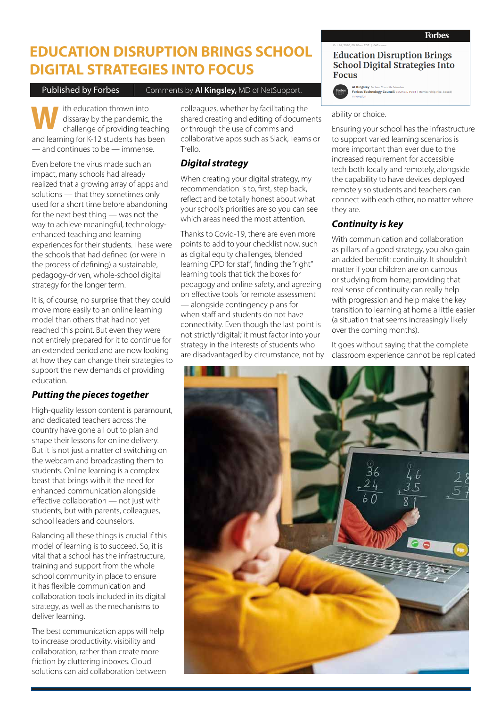# **EDUCATION DISRUPTION BRINGS SCHOOL DIGITAL STRATEGIES INTO FOCUS**

### Published by Forbes

#### Comments by **Al Kingsley,** MD of NetSupport.

ith education thrown into dissaray by the pandemic, the challenge of providing teaching **W** and learning for K-12 students has been — and continues to be — immense.

Even before the virus made such an impact, many schools had already realized that a growing array of apps and solutions — that they sometimes only used for a short time before abandoning for the next best thing — was not the way to achieve meaningful, technologyenhanced teaching and learning experiences for their students. These were the schools that had defined (or were in the process of defining) a sustainable, pedagogy-driven, whole-school digital strategy for the longer term.

It is, of course, no surprise that they could move more easily to an online learning model than others that had not yet reached this point. But even they were not entirely prepared for it to continue for an extended period and are now looking at how they can change their strategies to support the new demands of providing education.

## *Putting the pieces together*

High-quality lesson content is paramount, and dedicated teachers across the country have gone all out to plan and shape their lessons for online delivery. But it is not just a matter of switching on the webcam and broadcasting them to students. Online learning is a complex beast that brings with it the need for enhanced communication alongside effective collaboration — not just with students, but with parents, colleagues, school leaders and counselors.

Balancing all these things is crucial if this model of learning is to succeed. So, it is vital that a school has the infrastructure, training and support from the whole school community in place to ensure it has flexible communication and collaboration tools included in its digital strategy, as well as the mechanisms to deliver learning.

The best communication apps will help to increase productivity, visibility and collaboration, rather than create more friction by cluttering inboxes. Cloud solutions can aid collaboration between colleagues, whether by facilitating the shared creating and editing of documents or through the use of comms and collaborative apps such as Slack, Teams or Trello.

# *Digital strategy*

When creating your digital strategy, my recommendation is to, first, step back, reflect and be totally honest about what your school's priorities are so you can see which areas need the most attention.

Thanks to Covid-19, there are even more points to add to your checklist now, such as digital equity challenges, blended learning CPD for staff, finding the "right" learning tools that tick the boxes for pedagogy and online safety, and agreeing on effective tools for remote assessment — alongside contingency plans for when staff and students do not have connectivity. Even though the last point is not strictly "digital," it must factor into your strategy in the interests of students who are disadvantaged by circumstance, not by

## **Education Disruption Brings School Digital Strategies Into Focus**

Al Kingsley Forbes Councils Member<br>Forbes Technology Council COUNCIL POST | Membership (fee-based)

#### ability or choice.

Ensuring your school has the infrastructure to support varied learning scenarios is more important than ever due to the increased requirement for accessible tech both locally and remotely, alongside the capability to have devices deployed remotely so students and teachers can connect with each other, no matter where they are.

# *Continuity is key*

With communication and collaboration as pillars of a good strategy, you also gain an added benefit: continuity. It shouldn't matter if your children are on campus or studying from home; providing that real sense of continuity can really help with progression and help make the key transition to learning at home a little easier (a situation that seems increasingly likely over the coming months).

It goes without saying that the complete classroom experience cannot be replicated